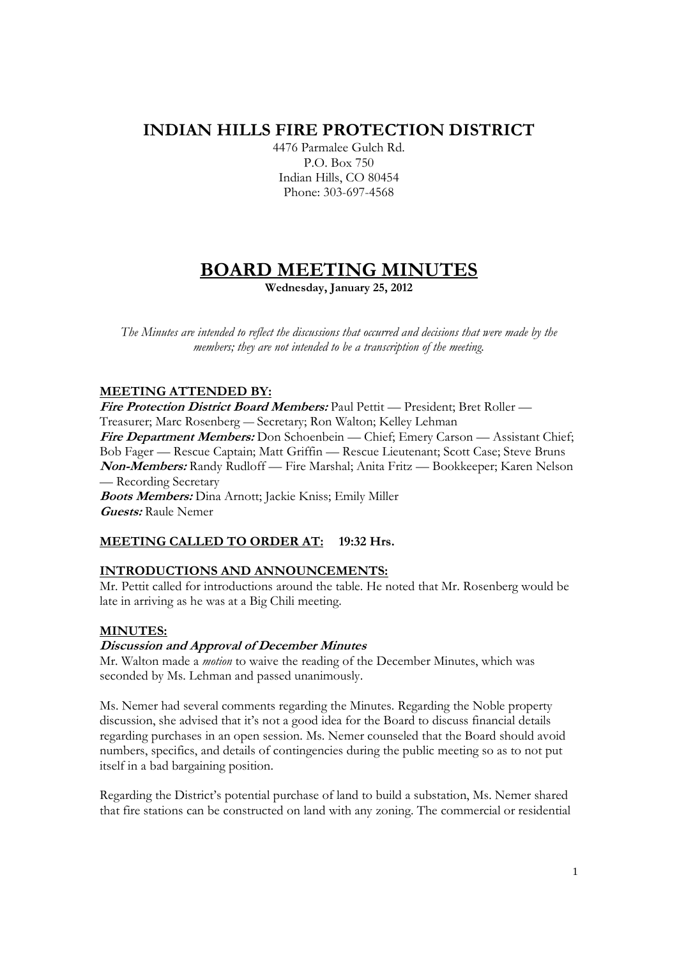# **INDIAN HILLS FIRE PROTECTION DISTRICT**

4476 Parmalee Gulch Rd. P.O. Box 750 Indian Hills, CO 80454 Phone: 303-697-4568

# **BOARD MEETING MINUTES**

**Wednesday, January 25, 2012** 

*The Minutes are intended to reflect the discussions that occurred and decisions that were made by the members; they are not intended to be a transcription of the meeting.* 

# **MEETING ATTENDED BY:**

**Fire Protection District Board Members:** Paul Pettit — President; Bret Roller — Treasurer; Marc Rosenberg — Secretary; Ron Walton; Kelley Lehman Fire Department Members: Don Schoenbein — Chief; Emery Carson — Assistant Chief; Bob Fager — Rescue Captain; Matt Griffin — Rescue Lieutenant; Scott Case; Steve Bruns **Non-Members:** Randy Rudloff — Fire Marshal; Anita Fritz — Bookkeeper; Karen Nelson — Recording Secretary **Boots Members:** Dina Arnott; Jackie Kniss; Emily Miller

**Guests:** Raule Nemer

# **MEETING CALLED TO ORDER AT: 19:32 Hrs.**

# **INTRODUCTIONS AND ANNOUNCEMENTS:**

Mr. Pettit called for introductions around the table. He noted that Mr. Rosenberg would be late in arriving as he was at a Big Chili meeting.

# **MINUTES:**

# **Discussion and Approval of December Minutes**

Mr. Walton made a *motion* to waive the reading of the December Minutes, which was seconded by Ms. Lehman and passed unanimously.

Ms. Nemer had several comments regarding the Minutes. Regarding the Noble property discussion, she advised that it's not a good idea for the Board to discuss financial details regarding purchases in an open session. Ms. Nemer counseled that the Board should avoid numbers, specifics, and details of contingencies during the public meeting so as to not put itself in a bad bargaining position.

Regarding the District's potential purchase of land to build a substation, Ms. Nemer shared that fire stations can be constructed on land with any zoning. The commercial or residential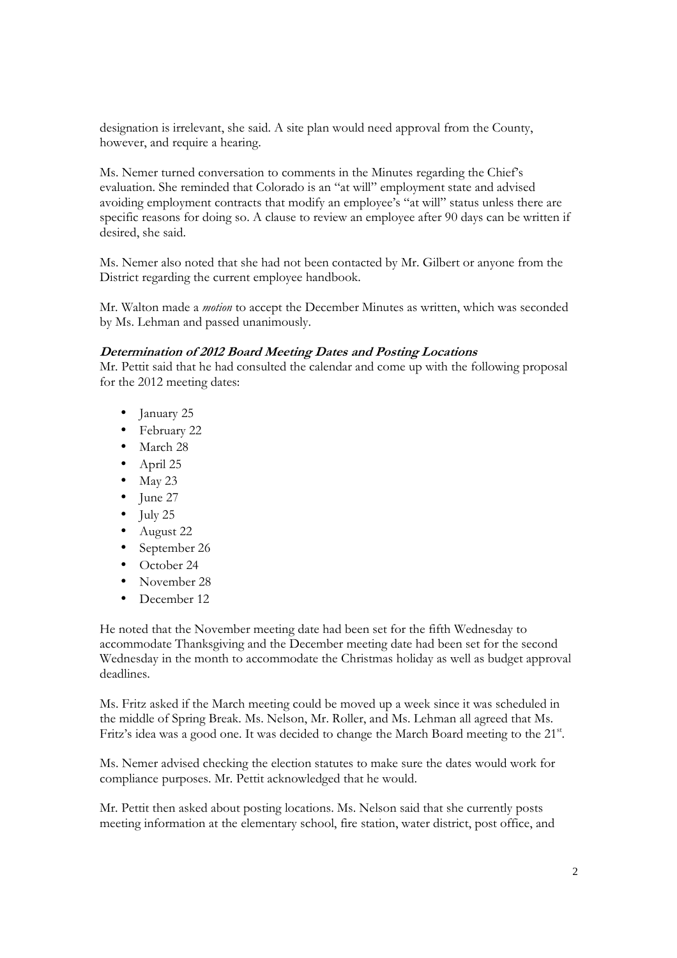designation is irrelevant, she said. A site plan would need approval from the County, however, and require a hearing.

Ms. Nemer turned conversation to comments in the Minutes regarding the Chief's evaluation. She reminded that Colorado is an "at will" employment state and advised avoiding employment contracts that modify an employee's "at will" status unless there are specific reasons for doing so. A clause to review an employee after 90 days can be written if desired, she said.

Ms. Nemer also noted that she had not been contacted by Mr. Gilbert or anyone from the District regarding the current employee handbook.

Mr. Walton made a *motion* to accept the December Minutes as written, which was seconded by Ms. Lehman and passed unanimously.

# **Determination of 2012 Board Meeting Dates and Posting Locations**

Mr. Pettit said that he had consulted the calendar and come up with the following proposal for the 2012 meeting dates:

- January 25
- February 22
- March 28
- April 25
- $\bullet$  May 23
- June 27
- $\bullet$  July 25
- August 22
- September 26
- October 24
- November 28
- December 12

He noted that the November meeting date had been set for the fifth Wednesday to accommodate Thanksgiving and the December meeting date had been set for the second Wednesday in the month to accommodate the Christmas holiday as well as budget approval deadlines.

Ms. Fritz asked if the March meeting could be moved up a week since it was scheduled in the middle of Spring Break. Ms. Nelson, Mr. Roller, and Ms. Lehman all agreed that Ms. Fritz's idea was a good one. It was decided to change the March Board meeting to the 21st.

Ms. Nemer advised checking the election statutes to make sure the dates would work for compliance purposes. Mr. Pettit acknowledged that he would.

Mr. Pettit then asked about posting locations. Ms. Nelson said that she currently posts meeting information at the elementary school, fire station, water district, post office, and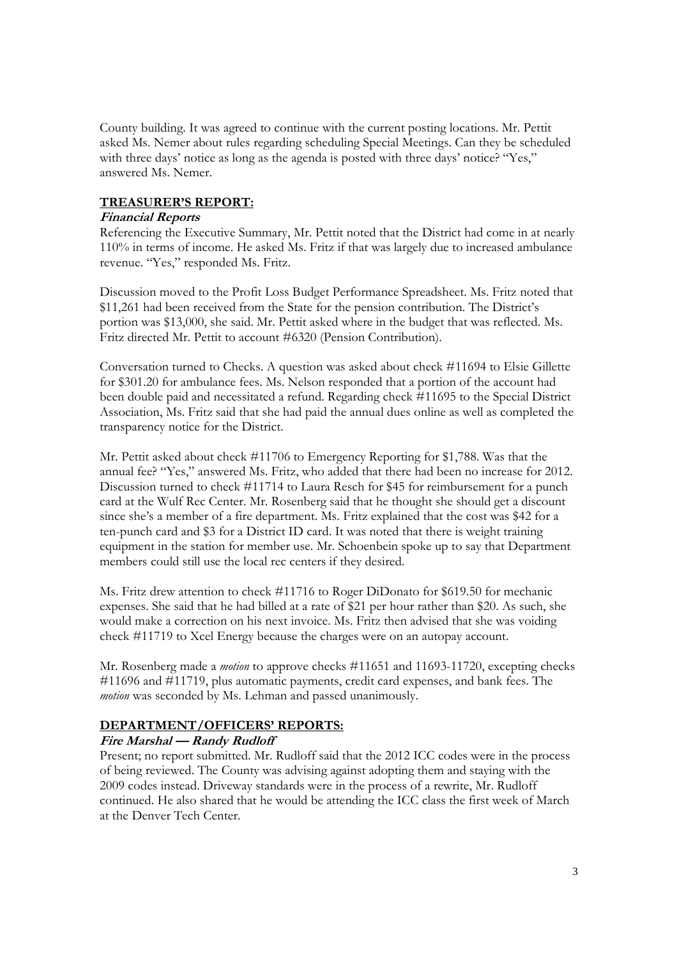County building. It was agreed to continue with the current posting locations. Mr. Pettit asked Ms. Nemer about rules regarding scheduling Special Meetings. Can they be scheduled with three days' notice as long as the agenda is posted with three days' notice? "Yes," answered Ms. Nemer.

## **TREASURER'S REPORT:**

## **Financial Reports**

Referencing the Executive Summary, Mr. Pettit noted that the District had come in at nearly 110% in terms of income. He asked Ms. Fritz if that was largely due to increased ambulance revenue. "Yes," responded Ms. Fritz.

Discussion moved to the Profit Loss Budget Performance Spreadsheet. Ms. Fritz noted that \$11,261 had been received from the State for the pension contribution. The District's portion was \$13,000, she said. Mr. Pettit asked where in the budget that was reflected. Ms. Fritz directed Mr. Pettit to account #6320 (Pension Contribution).

Conversation turned to Checks. A question was asked about check #11694 to Elsie Gillette for \$301.20 for ambulance fees. Ms. Nelson responded that a portion of the account had been double paid and necessitated a refund. Regarding check #11695 to the Special District Association, Ms. Fritz said that she had paid the annual dues online as well as completed the transparency notice for the District.

Mr. Pettit asked about check #11706 to Emergency Reporting for \$1,788. Was that the annual fee? "Yes," answered Ms. Fritz, who added that there had been no increase for 2012. Discussion turned to check #11714 to Laura Resch for \$45 for reimbursement for a punch card at the Wulf Rec Center. Mr. Rosenberg said that he thought she should get a discount since she's a member of a fire department. Ms. Fritz explained that the cost was \$42 for a ten-punch card and \$3 for a District ID card. It was noted that there is weight training equipment in the station for member use. Mr. Schoenbein spoke up to say that Department members could still use the local rec centers if they desired.

Ms. Fritz drew attention to check #11716 to Roger DiDonato for \$619.50 for mechanic expenses. She said that he had billed at a rate of \$21 per hour rather than \$20. As such, she would make a correction on his next invoice. Ms. Fritz then advised that she was voiding check #11719 to Xcel Energy because the charges were on an autopay account.

Mr. Rosenberg made a *motion* to approve checks #11651 and 11693-11720, excepting checks #11696 and #11719, plus automatic payments, credit card expenses, and bank fees. The *motion* was seconded by Ms. Lehman and passed unanimously.

## **DEPARTMENT/OFFICERS' REPORTS:**

# **Fire Marshal — Randy Rudloff**

Present; no report submitted. Mr. Rudloff said that the 2012 ICC codes were in the process of being reviewed. The County was advising against adopting them and staying with the 2009 codes instead. Driveway standards were in the process of a rewrite, Mr. Rudloff continued. He also shared that he would be attending the ICC class the first week of March at the Denver Tech Center.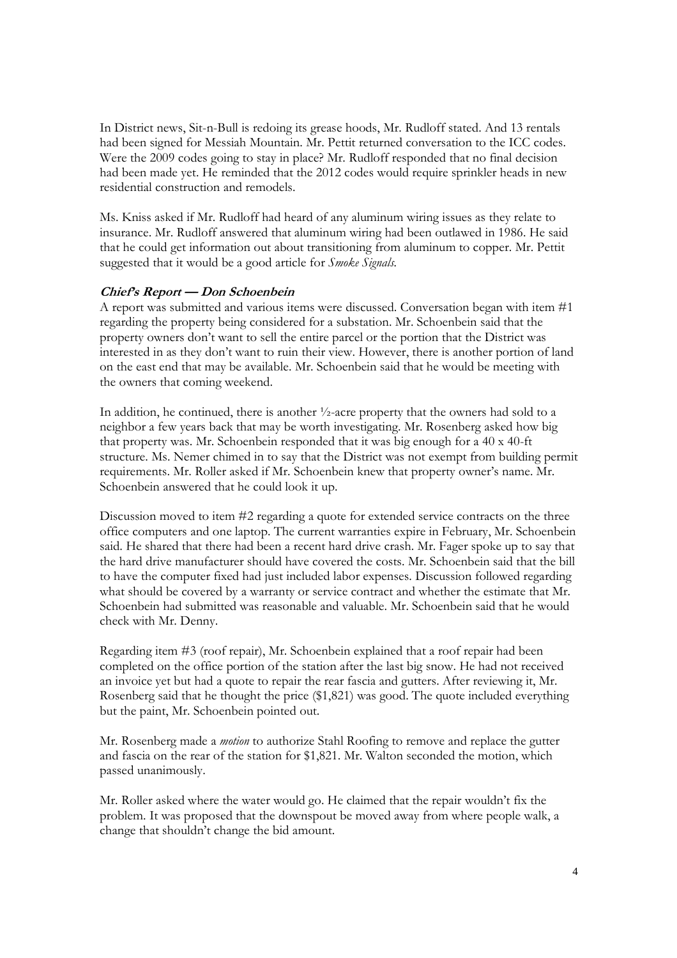In District news, Sit-n-Bull is redoing its grease hoods, Mr. Rudloff stated. And 13 rentals had been signed for Messiah Mountain. Mr. Pettit returned conversation to the ICC codes. Were the 2009 codes going to stay in place? Mr. Rudloff responded that no final decision had been made yet. He reminded that the 2012 codes would require sprinkler heads in new residential construction and remodels.

Ms. Kniss asked if Mr. Rudloff had heard of any aluminum wiring issues as they relate to insurance. Mr. Rudloff answered that aluminum wiring had been outlawed in 1986. He said that he could get information out about transitioning from aluminum to copper. Mr. Pettit suggested that it would be a good article for *Smoke Signals.*

## **Chief's Report — Don Schoenbein**

A report was submitted and various items were discussed. Conversation began with item #1 regarding the property being considered for a substation. Mr. Schoenbein said that the property owners don't want to sell the entire parcel or the portion that the District was interested in as they don't want to ruin their view. However, there is another portion of land on the east end that may be available. Mr. Schoenbein said that he would be meeting with the owners that coming weekend.

In addition, he continued, there is another ½-acre property that the owners had sold to a neighbor a few years back that may be worth investigating. Mr. Rosenberg asked how big that property was. Mr. Schoenbein responded that it was big enough for a 40 x 40-ft structure. Ms. Nemer chimed in to say that the District was not exempt from building permit requirements. Mr. Roller asked if Mr. Schoenbein knew that property owner's name. Mr. Schoenbein answered that he could look it up.

Discussion moved to item #2 regarding a quote for extended service contracts on the three office computers and one laptop. The current warranties expire in February, Mr. Schoenbein said. He shared that there had been a recent hard drive crash. Mr. Fager spoke up to say that the hard drive manufacturer should have covered the costs. Mr. Schoenbein said that the bill to have the computer fixed had just included labor expenses. Discussion followed regarding what should be covered by a warranty or service contract and whether the estimate that Mr. Schoenbein had submitted was reasonable and valuable. Mr. Schoenbein said that he would check with Mr. Denny.

Regarding item #3 (roof repair), Mr. Schoenbein explained that a roof repair had been completed on the office portion of the station after the last big snow. He had not received an invoice yet but had a quote to repair the rear fascia and gutters. After reviewing it, Mr. Rosenberg said that he thought the price (\$1,821) was good. The quote included everything but the paint, Mr. Schoenbein pointed out.

Mr. Rosenberg made a *motion* to authorize Stahl Roofing to remove and replace the gutter and fascia on the rear of the station for \$1,821. Mr. Walton seconded the motion, which passed unanimously.

Mr. Roller asked where the water would go. He claimed that the repair wouldn't fix the problem. It was proposed that the downspout be moved away from where people walk, a change that shouldn't change the bid amount.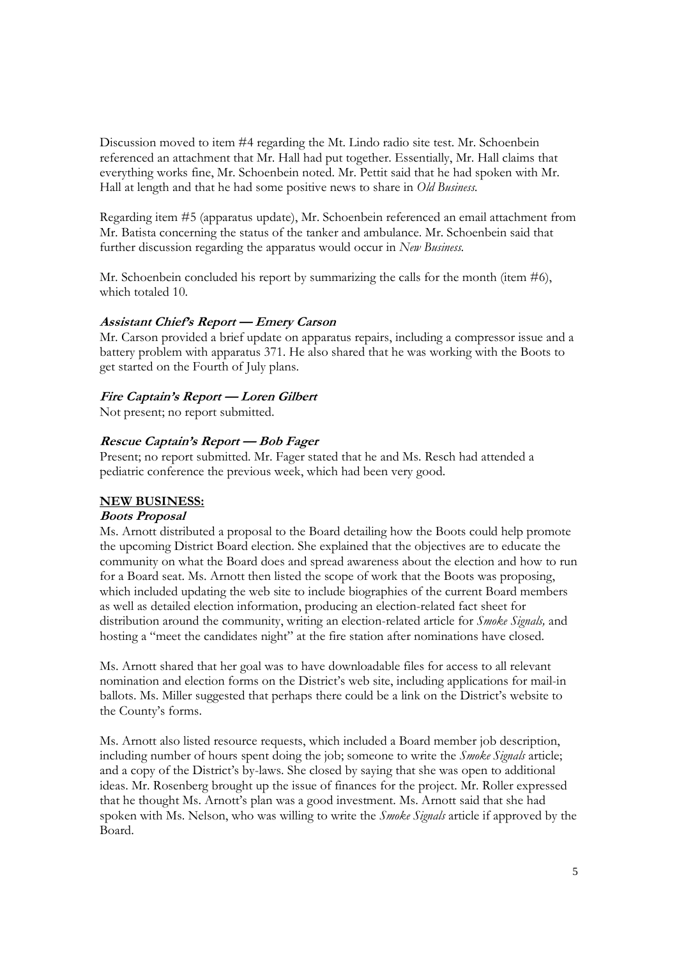Discussion moved to item #4 regarding the Mt. Lindo radio site test. Mr. Schoenbein referenced an attachment that Mr. Hall had put together. Essentially, Mr. Hall claims that everything works fine, Mr. Schoenbein noted. Mr. Pettit said that he had spoken with Mr. Hall at length and that he had some positive news to share in *Old Business.* 

Regarding item #5 (apparatus update), Mr. Schoenbein referenced an email attachment from Mr. Batista concerning the status of the tanker and ambulance. Mr. Schoenbein said that further discussion regarding the apparatus would occur in *New Business.*

Mr. Schoenbein concluded his report by summarizing the calls for the month (item #6), which totaled 10.

## **Assistant Chief's Report — Emery Carson**

Mr. Carson provided a brief update on apparatus repairs, including a compressor issue and a battery problem with apparatus 371. He also shared that he was working with the Boots to get started on the Fourth of July plans.

#### **Fire Captain's Report — Loren Gilbert**

Not present; no report submitted.

## **Rescue Captain's Report — Bob Fager**

Present; no report submitted. Mr. Fager stated that he and Ms. Resch had attended a pediatric conference the previous week, which had been very good.

#### **NEW BUSINESS:**

#### **Boots Proposal**

Ms. Arnott distributed a proposal to the Board detailing how the Boots could help promote the upcoming District Board election. She explained that the objectives are to educate the community on what the Board does and spread awareness about the election and how to run for a Board seat. Ms. Arnott then listed the scope of work that the Boots was proposing, which included updating the web site to include biographies of the current Board members as well as detailed election information, producing an election-related fact sheet for distribution around the community, writing an election-related article for *Smoke Signals,* and hosting a "meet the candidates night" at the fire station after nominations have closed.

Ms. Arnott shared that her goal was to have downloadable files for access to all relevant nomination and election forms on the District's web site, including applications for mail-in ballots. Ms. Miller suggested that perhaps there could be a link on the District's website to the County's forms.

Ms. Arnott also listed resource requests, which included a Board member job description, including number of hours spent doing the job; someone to write the *Smoke Signals* article; and a copy of the District's by-laws. She closed by saying that she was open to additional ideas. Mr. Rosenberg brought up the issue of finances for the project. Mr. Roller expressed that he thought Ms. Arnott's plan was a good investment. Ms. Arnott said that she had spoken with Ms. Nelson, who was willing to write the *Smoke Signals* article if approved by the Board.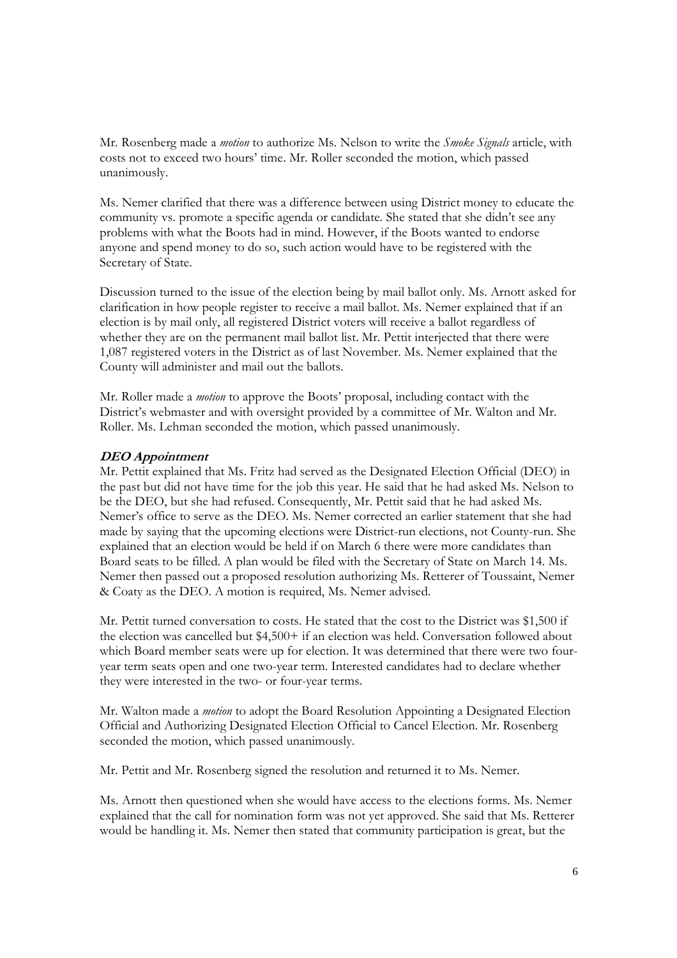Mr. Rosenberg made a *motion* to authorize Ms. Nelson to write the *Smoke Signals* article, with costs not to exceed two hours' time. Mr. Roller seconded the motion, which passed unanimously.

Ms. Nemer clarified that there was a difference between using District money to educate the community vs. promote a specific agenda or candidate. She stated that she didn't see any problems with what the Boots had in mind. However, if the Boots wanted to endorse anyone and spend money to do so, such action would have to be registered with the Secretary of State.

Discussion turned to the issue of the election being by mail ballot only. Ms. Arnott asked for clarification in how people register to receive a mail ballot. Ms. Nemer explained that if an election is by mail only, all registered District voters will receive a ballot regardless of whether they are on the permanent mail ballot list. Mr. Pettit interjected that there were 1,087 registered voters in the District as of last November. Ms. Nemer explained that the County will administer and mail out the ballots.

Mr. Roller made a *motion* to approve the Boots' proposal, including contact with the District's webmaster and with oversight provided by a committee of Mr. Walton and Mr. Roller. Ms. Lehman seconded the motion, which passed unanimously.

## **DEO Appointment**

Mr. Pettit explained that Ms. Fritz had served as the Designated Election Official (DEO) in the past but did not have time for the job this year. He said that he had asked Ms. Nelson to be the DEO, but she had refused. Consequently, Mr. Pettit said that he had asked Ms. Nemer's office to serve as the DEO. Ms. Nemer corrected an earlier statement that she had made by saying that the upcoming elections were District-run elections, not County-run. She explained that an election would be held if on March 6 there were more candidates than Board seats to be filled. A plan would be filed with the Secretary of State on March 14. Ms. Nemer then passed out a proposed resolution authorizing Ms. Retterer of Toussaint, Nemer & Coaty as the DEO. A motion is required, Ms. Nemer advised.

Mr. Pettit turned conversation to costs. He stated that the cost to the District was \$1,500 if the election was cancelled but \$4,500+ if an election was held. Conversation followed about which Board member seats were up for election. It was determined that there were two fouryear term seats open and one two-year term. Interested candidates had to declare whether they were interested in the two- or four-year terms.

Mr. Walton made a *motion* to adopt the Board Resolution Appointing a Designated Election Official and Authorizing Designated Election Official to Cancel Election. Mr. Rosenberg seconded the motion, which passed unanimously.

Mr. Pettit and Mr. Rosenberg signed the resolution and returned it to Ms. Nemer.

Ms. Arnott then questioned when she would have access to the elections forms. Ms. Nemer explained that the call for nomination form was not yet approved. She said that Ms. Retterer would be handling it. Ms. Nemer then stated that community participation is great, but the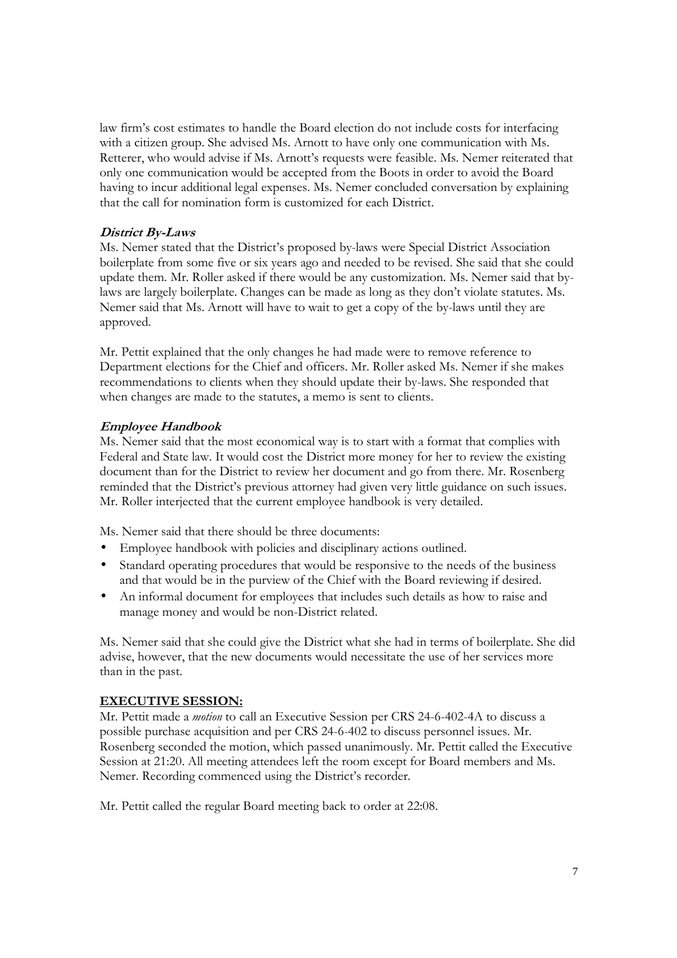law firm's cost estimates to handle the Board election do not include costs for interfacing with a citizen group. She advised Ms. Arnott to have only one communication with Ms. Retterer, who would advise if Ms. Arnott's requests were feasible. Ms. Nemer reiterated that only one communication would be accepted from the Boots in order to avoid the Board having to incur additional legal expenses. Ms. Nemer concluded conversation by explaining that the call for nomination form is customized for each District.

# **District By-Laws**

Ms. Nemer stated that the District's proposed by-laws were Special District Association boilerplate from some five or six years ago and needed to be revised. She said that she could update them. Mr. Roller asked if there would be any customization. Ms. Nemer said that bylaws are largely boilerplate. Changes can be made as long as they don't violate statutes. Ms. Nemer said that Ms. Arnott will have to wait to get a copy of the by-laws until they are approved.

Mr. Pettit explained that the only changes he had made were to remove reference to Department elections for the Chief and officers. Mr. Roller asked Ms. Nemer if she makes recommendations to clients when they should update their by-laws. She responded that when changes are made to the statutes, a memo is sent to clients.

## **Employee Handbook**

Ms. Nemer said that the most economical way is to start with a format that complies with Federal and State law. It would cost the District more money for her to review the existing document than for the District to review her document and go from there. Mr. Rosenberg reminded that the District's previous attorney had given very little guidance on such issues. Mr. Roller interjected that the current employee handbook is very detailed.

Ms. Nemer said that there should be three documents:

- Employee handbook with policies and disciplinary actions outlined.
- Standard operating procedures that would be responsive to the needs of the business and that would be in the purview of the Chief with the Board reviewing if desired.
- An informal document for employees that includes such details as how to raise and manage money and would be non-District related.

Ms. Nemer said that she could give the District what she had in terms of boilerplate. She did advise, however, that the new documents would necessitate the use of her services more than in the past.

## **EXECUTIVE SESSION:**

Mr. Pettit made a *motion* to call an Executive Session per CRS 24-6-402-4A to discuss a possible purchase acquisition and per CRS 24-6-402 to discuss personnel issues. Mr. Rosenberg seconded the motion, which passed unanimously. Mr. Pettit called the Executive Session at 21:20. All meeting attendees left the room except for Board members and Ms. Nemer. Recording commenced using the District's recorder.

Mr. Pettit called the regular Board meeting back to order at 22:08.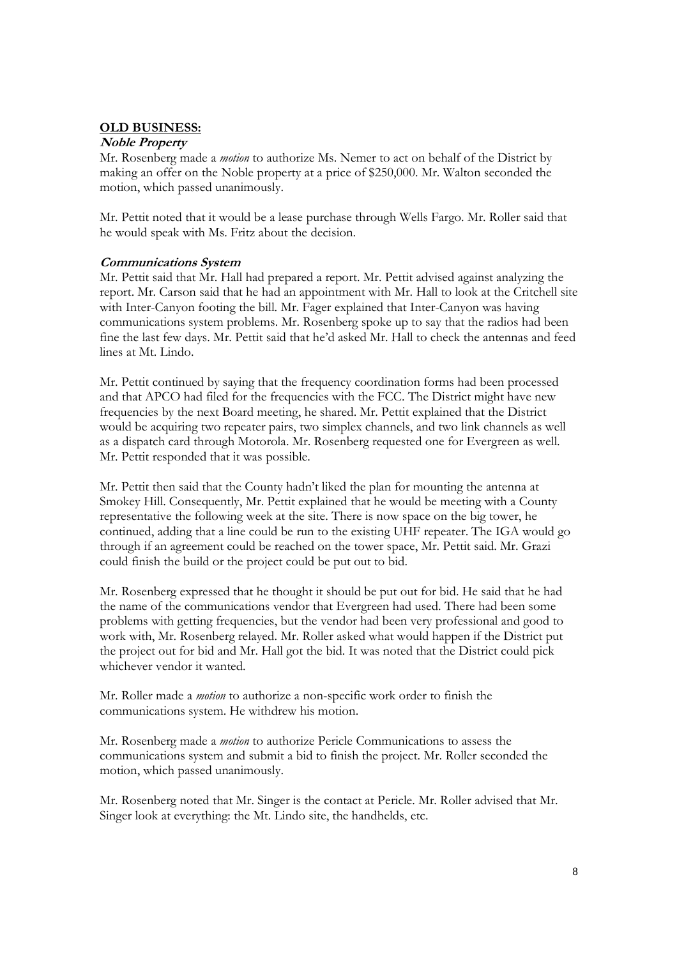## **OLD BUSINESS:**

## **Noble Property**

Mr. Rosenberg made a *motion* to authorize Ms. Nemer to act on behalf of the District by making an offer on the Noble property at a price of \$250,000. Mr. Walton seconded the motion, which passed unanimously.

Mr. Pettit noted that it would be a lease purchase through Wells Fargo. Mr. Roller said that he would speak with Ms. Fritz about the decision.

## **Communications System**

Mr. Pettit said that Mr. Hall had prepared a report. Mr. Pettit advised against analyzing the report. Mr. Carson said that he had an appointment with Mr. Hall to look at the Critchell site with Inter-Canyon footing the bill. Mr. Fager explained that Inter-Canyon was having communications system problems. Mr. Rosenberg spoke up to say that the radios had been fine the last few days. Mr. Pettit said that he'd asked Mr. Hall to check the antennas and feed lines at Mt. Lindo.

Mr. Pettit continued by saying that the frequency coordination forms had been processed and that APCO had filed for the frequencies with the FCC. The District might have new frequencies by the next Board meeting, he shared. Mr. Pettit explained that the District would be acquiring two repeater pairs, two simplex channels, and two link channels as well as a dispatch card through Motorola. Mr. Rosenberg requested one for Evergreen as well. Mr. Pettit responded that it was possible.

Mr. Pettit then said that the County hadn't liked the plan for mounting the antenna at Smokey Hill. Consequently, Mr. Pettit explained that he would be meeting with a County representative the following week at the site. There is now space on the big tower, he continued, adding that a line could be run to the existing UHF repeater. The IGA would go through if an agreement could be reached on the tower space, Mr. Pettit said. Mr. Grazi could finish the build or the project could be put out to bid.

Mr. Rosenberg expressed that he thought it should be put out for bid. He said that he had the name of the communications vendor that Evergreen had used. There had been some problems with getting frequencies, but the vendor had been very professional and good to work with, Mr. Rosenberg relayed. Mr. Roller asked what would happen if the District put the project out for bid and Mr. Hall got the bid. It was noted that the District could pick whichever vendor it wanted.

Mr. Roller made a *motion* to authorize a non-specific work order to finish the communications system. He withdrew his motion.

Mr. Rosenberg made a *motion* to authorize Pericle Communications to assess the communications system and submit a bid to finish the project. Mr. Roller seconded the motion, which passed unanimously.

Mr. Rosenberg noted that Mr. Singer is the contact at Pericle. Mr. Roller advised that Mr. Singer look at everything: the Mt. Lindo site, the handhelds, etc.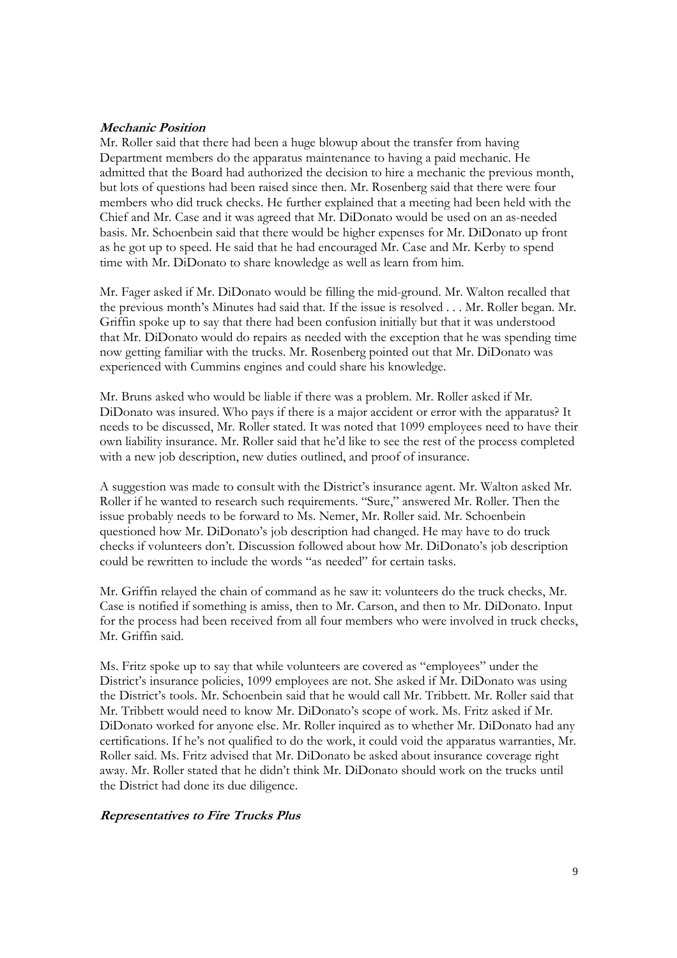## **Mechanic Position**

Mr. Roller said that there had been a huge blowup about the transfer from having Department members do the apparatus maintenance to having a paid mechanic. He admitted that the Board had authorized the decision to hire a mechanic the previous month, but lots of questions had been raised since then. Mr. Rosenberg said that there were four members who did truck checks. He further explained that a meeting had been held with the Chief and Mr. Case and it was agreed that Mr. DiDonato would be used on an as-needed basis. Mr. Schoenbein said that there would be higher expenses for Mr. DiDonato up front as he got up to speed. He said that he had encouraged Mr. Case and Mr. Kerby to spend time with Mr. DiDonato to share knowledge as well as learn from him.

Mr. Fager asked if Mr. DiDonato would be filling the mid-ground. Mr. Walton recalled that the previous month's Minutes had said that. If the issue is resolved . . . Mr. Roller began. Mr. Griffin spoke up to say that there had been confusion initially but that it was understood that Mr. DiDonato would do repairs as needed with the exception that he was spending time now getting familiar with the trucks. Mr. Rosenberg pointed out that Mr. DiDonato was experienced with Cummins engines and could share his knowledge.

Mr. Bruns asked who would be liable if there was a problem. Mr. Roller asked if Mr. DiDonato was insured. Who pays if there is a major accident or error with the apparatus? It needs to be discussed, Mr. Roller stated. It was noted that 1099 employees need to have their own liability insurance. Mr. Roller said that he'd like to see the rest of the process completed with a new job description, new duties outlined, and proof of insurance.

A suggestion was made to consult with the District's insurance agent. Mr. Walton asked Mr. Roller if he wanted to research such requirements. "Sure," answered Mr. Roller. Then the issue probably needs to be forward to Ms. Nemer, Mr. Roller said. Mr. Schoenbein questioned how Mr. DiDonato's job description had changed. He may have to do truck checks if volunteers don't. Discussion followed about how Mr. DiDonato's job description could be rewritten to include the words "as needed" for certain tasks.

Mr. Griffin relayed the chain of command as he saw it: volunteers do the truck checks, Mr. Case is notified if something is amiss, then to Mr. Carson, and then to Mr. DiDonato. Input for the process had been received from all four members who were involved in truck checks, Mr. Griffin said.

Ms. Fritz spoke up to say that while volunteers are covered as "employees" under the District's insurance policies, 1099 employees are not. She asked if Mr. DiDonato was using the District's tools. Mr. Schoenbein said that he would call Mr. Tribbett. Mr. Roller said that Mr. Tribbett would need to know Mr. DiDonato's scope of work. Ms. Fritz asked if Mr. DiDonato worked for anyone else. Mr. Roller inquired as to whether Mr. DiDonato had any certifications. If he's not qualified to do the work, it could void the apparatus warranties, Mr. Roller said. Ms. Fritz advised that Mr. DiDonato be asked about insurance coverage right away. Mr. Roller stated that he didn't think Mr. DiDonato should work on the trucks until the District had done its due diligence.

## **Representatives to Fire Trucks Plus**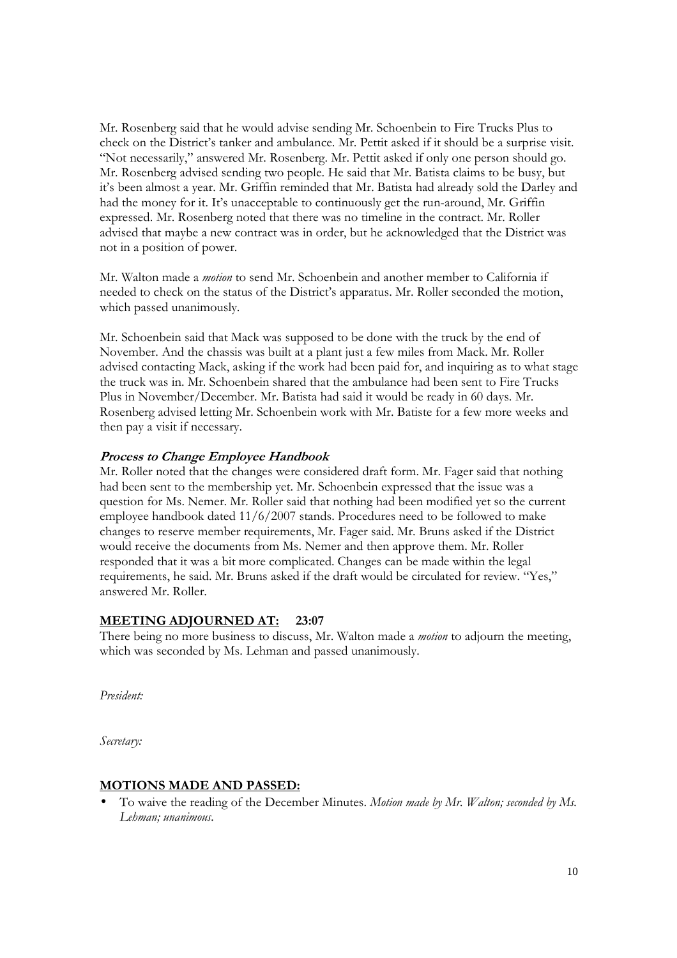Mr. Rosenberg said that he would advise sending Mr. Schoenbein to Fire Trucks Plus to check on the District's tanker and ambulance. Mr. Pettit asked if it should be a surprise visit. "Not necessarily," answered Mr. Rosenberg. Mr. Pettit asked if only one person should go. Mr. Rosenberg advised sending two people. He said that Mr. Batista claims to be busy, but it's been almost a year. Mr. Griffin reminded that Mr. Batista had already sold the Darley and had the money for it. It's unacceptable to continuously get the run-around, Mr. Griffin expressed. Mr. Rosenberg noted that there was no timeline in the contract. Mr. Roller advised that maybe a new contract was in order, but he acknowledged that the District was not in a position of power.

Mr. Walton made a *motion* to send Mr. Schoenbein and another member to California if needed to check on the status of the District's apparatus. Mr. Roller seconded the motion, which passed unanimously.

Mr. Schoenbein said that Mack was supposed to be done with the truck by the end of November. And the chassis was built at a plant just a few miles from Mack. Mr. Roller advised contacting Mack, asking if the work had been paid for, and inquiring as to what stage the truck was in. Mr. Schoenbein shared that the ambulance had been sent to Fire Trucks Plus in November/December. Mr. Batista had said it would be ready in 60 days. Mr. Rosenberg advised letting Mr. Schoenbein work with Mr. Batiste for a few more weeks and then pay a visit if necessary.

# **Process to Change Employee Handbook**

Mr. Roller noted that the changes were considered draft form. Mr. Fager said that nothing had been sent to the membership yet. Mr. Schoenbein expressed that the issue was a question for Ms. Nemer. Mr. Roller said that nothing had been modified yet so the current employee handbook dated 11/6/2007 stands. Procedures need to be followed to make changes to reserve member requirements, Mr. Fager said. Mr. Bruns asked if the District would receive the documents from Ms. Nemer and then approve them. Mr. Roller responded that it was a bit more complicated. Changes can be made within the legal requirements, he said. Mr. Bruns asked if the draft would be circulated for review. "Yes," answered Mr. Roller.

## **MEETING ADJOURNED AT: 23:07**

There being no more business to discuss, Mr. Walton made a *motion* to adjourn the meeting, which was seconded by Ms. Lehman and passed unanimously.

*President:* 

*Secretary:* 

## **MOTIONS MADE AND PASSED:**

• To waive the reading of the December Minutes. *Motion made by Mr. Walton; seconded by Ms. Lehman; unanimous.*